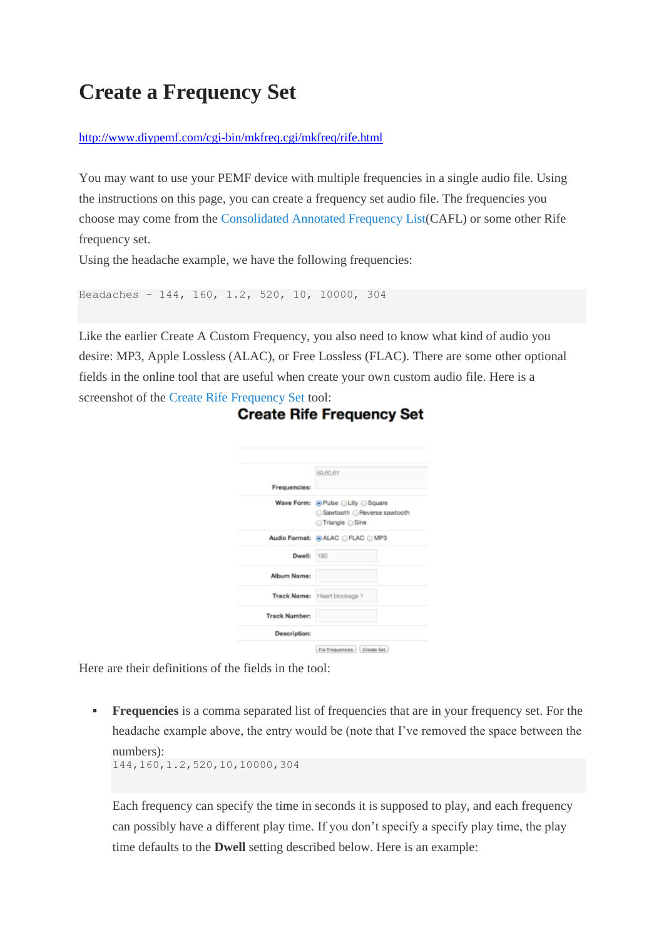## **Create a [Frequency](http://www.diypemf.com/create-a-frequency-set/) Set**

## <http://www.diypemf.com/cgi-bin/mkfreq.cgi/mkfreq/rife.html>

You may want to use your PEMF device with multiple frequencies in a single audio file. Using the instructions on this page, you can create a frequency set audio file. The frequencies you choose may come from the [Consolidated](http://www.electroherbalism.com/Bioelectronics/FrequenciesandAnecdotes/CAFL.htm) Annotated Frequency List(CAFL) or some other Rife frequency set.

Using the headache example, we have the following frequencies:

```
Headaches - 144, 160, 1.2, 520, 10, 10000, 304
```
Like the earlier Create A Custom Frequency, you also need to know what kind of audio you desire: MP3, Apple Lossless (ALAC), or Free Lossless (FLAC). There are some other optional fields in the online tool that are useful when create your own custom audio file. Here is a screenshot of the Create Rife [Frequency](http://www.diypemf.com/cgi-bin/mkfreq.cgi/mkfreq/rife.html) Set tool:

|                      | 59,60,61                                                |
|----------------------|---------------------------------------------------------|
| Frequencies:         |                                                         |
|                      | Wave Form: @ Pulse @ Lilly @ Square<br>□Triangle □ Sine |
|                      | Audio Format: @ ALAC @ FLAC @ MP3                       |
| Dwell:               | 180                                                     |
| Album Name:          |                                                         |
|                      | Track Name: Heart blockage 1                            |
| <b>Track Number:</b> |                                                         |
| <b>Description:</b>  |                                                         |

## **Create Rife Frequency Set**

Here are their definitions of the fields in the tool:

**Frequencies** is a comma separated list of frequencies that are in your frequency set. For the headache example above, the entry would be (note that I've removed the space between the numbers):

144,160,1.2,520,10,10000,304

Each frequency can specify the time in seconds it is supposed to play, and each frequency can possibly have a different play time. If you don't specify a specify play time, the play time defaults to the **Dwell** setting described below. Here is an example: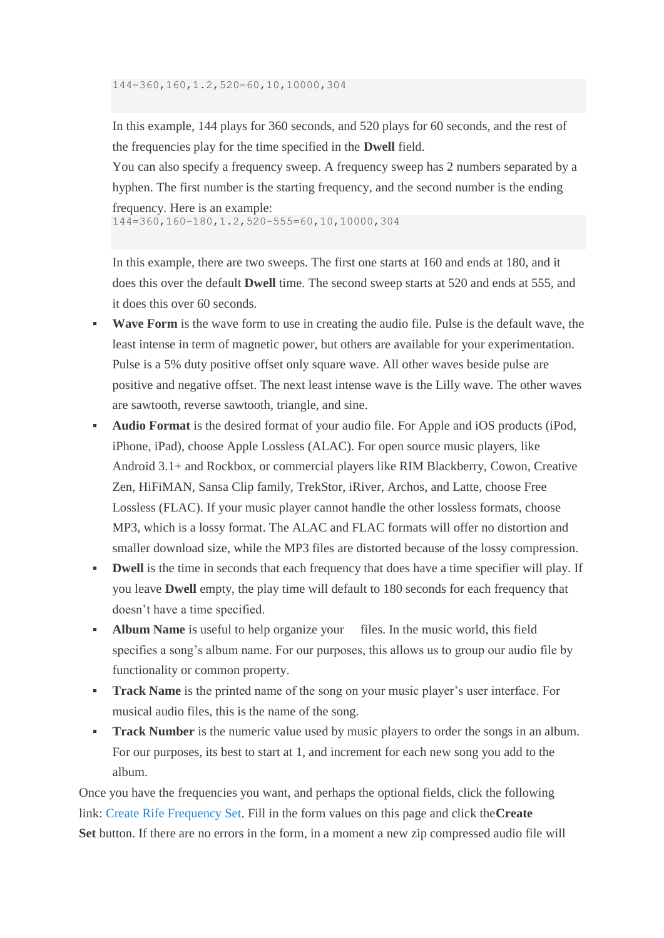In this example, 144 plays for 360 seconds, and 520 plays for 60 seconds, and the rest of the frequencies play for the time specified in the **Dwell** field.

You can also specify a frequency sweep. A frequency sweep has 2 numbers separated by a hyphen. The first number is the starting frequency, and the second number is the ending frequency. Here is an example:

144=360,160-180,1.2,520-555=60,10,10000,304

In this example, there are two sweeps. The first one starts at 160 and ends at 180, and it does this over the default **Dwell** time. The second sweep starts at 520 and ends at 555, and it does this over 60 seconds.

- **Wave Form** is the wave form to use in creating the audio file. Pulse is the default wave, the least intense in term of magnetic power, but others are available for your experimentation. Pulse is a 5% duty positive offset only square wave. All other waves beside pulse are positive and negative offset. The next least intense wave is the Lilly wave. The other waves are sawtooth, reverse sawtooth, triangle, and sine.
- **Audio Format** is the desired format of your audio file. For Apple and iOS products (iPod, iPhone, iPad), choose Apple Lossless (ALAC). For open source music players, like Android 3.1+ and Rockbox, or commercial players like RIM Blackberry, Cowon, Creative Zen, HiFiMAN, Sansa Clip family, TrekStor, iRiver, Archos, and Latte, choose Free Lossless (FLAC). If your music player cannot handle the other lossless formats, choose MP3, which is a lossy format. The ALAC and FLAC formats will offer no distortion and smaller download size, while the MP3 files are distorted because of the lossy compression.
- **Dwell** is the time in seconds that each frequency that does have a time specifier will play. If you leave **Dwell** empty, the play time will default to 180 seconds for each frequency that doesn't have a time specified.
- **Album Name** is useful to help organize your files. In the music world, this field specifies a song's album name. For our purposes, this allows us to group our audio file by functionality or common property.
- **Track Name** is the printed name of the song on your music player's user interface. For musical audio files, this is the name of the song.
- **Track Number** is the numeric value used by music players to order the songs in an album. For our purposes, its best to start at 1, and increment for each new song you add to the album.

Once you have the frequencies you want, and perhaps the optional fields, click the following link: Create Rife [Frequency](http://www.diypemf.com/cgi-bin/mkfreq.cgi/mkfreq/rife.html) Set. Fill in the form values on this page and click the**Create Set** button. If there are no errors in the form, in a moment a new zip compressed audio file will